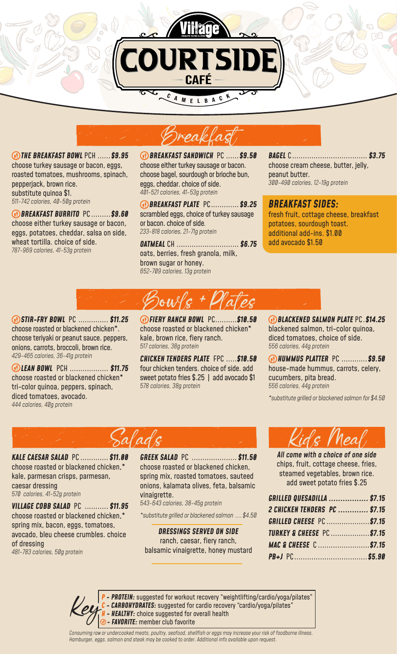

**CAFÉ** 

 *THE BREAKFAST BOWL* PCH ......*\$9.95* choose turkey sausage or bacon, eggs, roasted tomatoes, mushrooms, spinach, pepperjack, brown rice. substitute quinoa \$1. *511-742 calories, 40-50g protein*

 *BREAKFAST BURRITO* PC .........*\$9.60* choose either turkey sausage or bacon, eggs, potatoes, cheddar, salsa on side, wheat tortilla. choice of side. *787-969 calories, 41-53g protein*

 *BREAKFAST SANDWICH* PC ......*\$9.50* choose either turkey sausage or bacon. choose bagel, sourdough or brioche bun, eggs, cheddar. choice of side. *401-521 calories, 41-53g protein*

 *BREAKFAST PLATE* PC.............*\$9.25* scrambled eggs, choice of turkey sausage or bacon. choice of side*. 233-818 calories, 21-71g protein*

*OATMEAL* CH ............................. *\$6.75* oats, berries, fresh granola, milk, brown sugar or honey. *652-709 calories, 13g protein* 

*BAGEL* C................................... *\$3.75* choose cream cheese, butter, jelly, peanut butter. *300-490 calories, 12-19g protein*

## *BREAKFAST SIDES:*

fresh fruit, cottage cheese, breakfast potatoes, sourdough toast. additional add-ins. \$1.00 add avocado \$1.50

 *STIR-FRY BOWL* PC .............. *\$11.25* choose roasted or blackened chicken\*. choose teriyaki or peanut sauce. peppers, onions, carrots, broccoli, brown rice. *429-465 calories, 36-41g protein*

 *LEAN BOWL* PCH .................. *\$11.75* choose roasted or blackened chicken\* tri-color quinoa, peppers, spinach, diced tomatoes, avocado. *444 calories, 40g protein* 

 *FIERY RANCH BOWL* PC..........*\$10.50* choose roasted or blackened chicken\* kale, brown rice, fiery ranch. *517 calories, 38g protein*

Bowls + Plates

*CHICKEN TENDERS PLATE* FPC .....*\$10.50*  four chicken tenders. choice of side. add sweet potato fries \$.25 | add avocado \$1 *578 calories, 38g protein*

 *BLACKENED SALMON PLATE* PC.*\$14.25* blackened salmon, tri-color quinoa, diced tomatoes, choice of side. *556 calories, 44g protein*

 *HUMMUS PLATTER* PC ............*\$9.50*  house-made hummus, carrots, celery, cucumbers, pita bread. *556 calories, 44g protein*

*\*substitute grilled or blackened salmon for \$4.50*



*KALE CAESAR SALAD* PC ............. *\$11.00*  choose roasted or blackened chicken,\* kale, parmesan crisps, parmesan, caesar dressing *570 calories, 41-52g protein*

*VILLAGE COBB SALAD* PC ........... *\$11.95* choose roasted or blackened chicken,\* spring mix, bacon, eggs, tomatoes, avocado, bleu cheese crumbles. choice of dressing *481-783 calories, 50g protein*

*GREEK SALAD* PC ..................... *\$11.50* choose roasted or blackened chicken, spring mix, roasted tomatoes, sauteed onions, kalamata olives, feta, balsamic vinaigrette.

*543-643 calories, 38-45g protein*

*\*substitute grilled or blackened salmon ....\$4.50*

*DRESSINGS SERVED ON SIDE*  ranch, caesar, fiery ranch, balsamic vinaigrette, honey mustard



*All come with a choice of one side*  chips, fruit, cottage cheese, fries, steamed vegetables, brown rice. add sweet potato fries \$.25

| GRILLED QUESADILLA  \$7.15          |  |
|-------------------------------------|--|
| 2 CHICKEN TENDERS PC  \$7.15        |  |
| <b>GRILLED CHEESE PC \$7.15</b>     |  |
| <b>TURKEY &amp; CHEESE PC\$7.15</b> |  |
| MAC & CHEESE C \$7.15               |  |
|                                     |  |

*P - PROTEIN:* suggested for workout recovery "weightlifting/cardio/yoga/pilates" **CARBOHYDRATES:** suggested for cardio recovery "cardio/yoga/pilates" - **HEALTHY:** choice suggested for overall health *<b><i>O* - **FAVORITE:** member club favorite

*Consuming raw or undercooked meats, poultry, seafood, shellfish or eggs may increase your risk of foodborne illness. Hamburger, eggs, salmon and steak may be cooked to order. Additional info available upon request.*